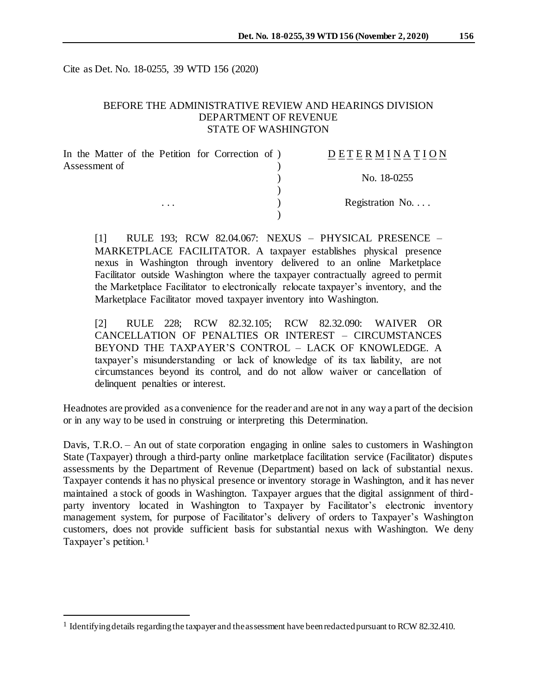Cite as Det. No. 18-0255, 39 WTD 156 (2020)

## BEFORE THE ADMINISTRATIVE REVIEW AND HEARINGS DIVISION DEPARTMENT OF REVENUE STATE OF WASHINGTON

| In the Matter of the Petition for Correction of) | <b>DETERMINATION</b> |
|--------------------------------------------------|----------------------|
| Assessment of                                    | No. 18-0255          |
|                                                  |                      |
| $\cdot$                                          | Registration No.     |
|                                                  |                      |

[1] RULE 193; RCW 82.04.067: NEXUS – PHYSICAL PRESENCE – MARKETPLACE FACILITATOR. A taxpayer establishes physical presence nexus in Washington through inventory delivered to an online Marketplace Facilitator outside Washington where the taxpayer contractually agreed to permit the Marketplace Facilitator to electronically relocate taxpayer's inventory, and the Marketplace Facilitator moved taxpayer inventory into Washington.

[2] RULE 228; RCW 82.32.105; RCW 82.32.090: WAIVER OR CANCELLATION OF PENALTIES OR INTEREST – CIRCUMSTANCES BEYOND THE TAXPAYER'S CONTROL – LACK OF KNOWLEDGE. A taxpayer's misunderstanding or lack of knowledge of its tax liability, are not circumstances beyond its control, and do not allow waiver or cancellation of delinquent penalties or interest.

Headnotes are provided as a convenience for the reader and are not in any way a part of the decision or in any way to be used in construing or interpreting this Determination.

Davis, T.R.O. – An out of state corporation engaging in online sales to customers in Washington State (Taxpayer) through a third-party online marketplace facilitation service (Facilitator) disputes assessments by the Department of Revenue (Department) based on lack of substantial nexus. Taxpayer contends it has no physical presence or inventory storage in Washington, and it has never maintained a stock of goods in Washington. Taxpayer argues that the digital assignment of thirdparty inventory located in Washington to Taxpayer by Facilitator's electronic inventory management system, for purpose of Facilitator's delivery of orders to Taxpayer's Washington customers, does not provide sufficient basis for substantial nexus with Washington. We deny Taxpayer's petition.<sup>1</sup>

l

<sup>&</sup>lt;sup>1</sup> Identifying details regarding the taxpayer and the assessment have been redacted pursuant to RCW 82.32.410.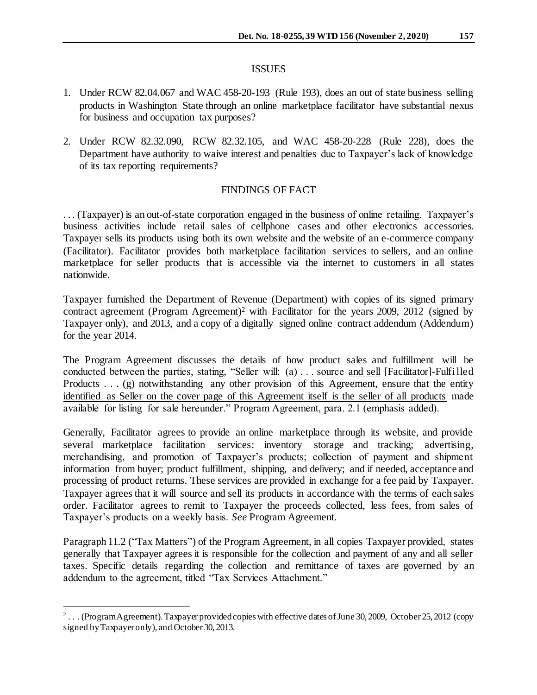#### ISSUES

- 1. Under RCW 82.04.067 and WAC 458-20-193 (Rule 193), does an out of state business selling products in Washington State through an online marketplace facilitator have substantial nexus for business and occupation tax purposes?
- 2. Under RCW 82.32.090, RCW 82.32.105, and WAC 458-20-228 (Rule 228), does the Department have authority to waive interest and penalties due to Taxpayer's lack of knowledge of its tax reporting requirements?

# FINDINGS OF FACT

. . . (Taxpayer) is an out-of-state corporation engaged in the business of online retailing. Taxpayer's business activities include retail sales of cellphone cases and other electronics accessories. Taxpayer sells its products using both its own website and the website of an e-commerce company (Facilitator). Facilitator provides both marketplace facilitation services to sellers, and an online marketplace for seller products that is accessible via the internet to customers in all states nationwide.

Taxpayer furnished the Department of Revenue (Department) with copies of its signed primary contract agreement (Program Agreement) <sup>2</sup> with Facilitator for the years 2009, 2012 (signed by Taxpayer only), and 2013, and a copy of a digitally signed online contract addendum (Addendum) for the year 2014.

The Program Agreement discusses the details of how product sales and fulfillment will be conducted between the parties, stating, "Seller will: (a) . . . source and sell [Facilitator]-Fulfilled Products . . . (g) notwithstanding any other provision of this Agreement, ensure that the entity identified as Seller on the cover page of this Agreement itself is the seller of all products made available for listing for sale hereunder." Program Agreement, para. 2.1 (emphasis added).

Generally, Facilitator agrees to provide an online marketplace through its website, and provide several marketplace facilitation services: inventory storage and tracking; advertising, merchandising, and promotion of Taxpayer's products; collection of payment and shipment information from buyer; product fulfillment, shipping, and delivery; and if needed, acceptance and processing of product returns. These services are provided in exchange for a fee paid by Taxpayer. Taxpayer agrees that it will source and sell its products in accordance with the terms of each sales order. Facilitator agrees to remit to Taxpayer the proceeds collected, less fees, from sales of Taxpayer's products on a weekly basis. *See* Program Agreement.

Paragraph 11.2 ("Tax Matters") of the Program Agreement, in all copies Taxpayer provided, states generally that Taxpayer agrees it is responsible for the collection and payment of any and all seller taxes. Specific details regarding the collection and remittance of taxes are governed by an addendum to the agreement, titled "Tax Services Attachment."

 2 . . . (Program Agreement). Taxpayer provided copies with effective dates of June 30, 2009, October 25, 2012 (copy signed by Taxpayer only), and October 30, 2013.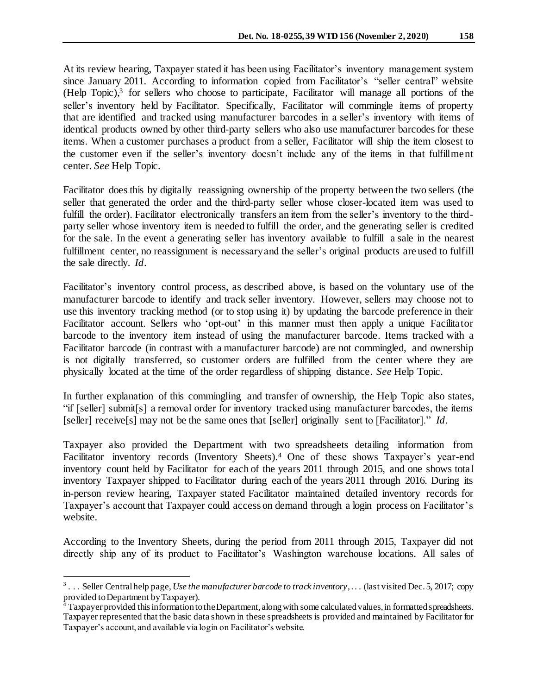At its review hearing, Taxpayer stated it has been using Facilitator's inventory management system since January 2011. According to information copied from Facilitator's "seller central" website (Help Topic), 3 for sellers who choose to participate, Facilitator will manage all portions of the seller's inventory held by Facilitator. Specifically, Facilitator will commingle items of property that are identified and tracked using manufacturer barcodes in a seller's inventory with items of identical products owned by other third-party sellers who also use manufacturer barcodes for these items. When a customer purchases a product from a seller, Facilitator will ship the item closest to the customer even if the seller's inventory doesn't include any of the items in that fulfillment center. *See* Help Topic.

Facilitator does this by digitally reassigning ownership of the property between the two sellers (the seller that generated the order and the third-party seller whose closer-located item was used to fulfill the order). Facilitator electronically transfers an item from the seller's inventory to the thirdparty seller whose inventory item is needed to fulfill the order, and the generating seller is credited for the sale. In the event a generating seller has inventory available to fulfill a sale in the nearest fulfillment center, no reassignment is necessary and the seller's original products are used to fulfill the sale directly. *Id*.

Facilitator's inventory control process, as described above, is based on the voluntary use of the manufacturer barcode to identify and track seller inventory. However, sellers may choose not to use this inventory tracking method (or to stop using it) by updating the barcode preference in their Facilitator account. Sellers who 'opt-out' in this manner must then apply a unique Facilitator barcode to the inventory item instead of using the manufacturer barcode. Items tracked with a Facilitator barcode (in contrast with a manufacturer barcode) are not commingled, and ownership is not digitally transferred, so customer orders are fulfilled from the center where they are physically located at the time of the order regardless of shipping distance. *See* Help Topic.

In further explanation of this commingling and transfer of ownership, the Help Topic also states, "if [seller] submit[s] a removal order for inventory tracked using manufacturer barcodes, the items [seller] receive[s] may not be the same ones that [seller] originally sent to [Facilitator]." *Id*.

Taxpayer also provided the Department with two spreadsheets detailing information from Facilitator inventory records (Inventory Sheets).<sup>4</sup> One of these shows Taxpayer's year-end inventory count held by Facilitator for each of the years 2011 through 2015, and one shows total inventory Taxpayer shipped to Facilitator during each of the years 2011 through 2016. During its in-person review hearing, Taxpayer stated Facilitator maintained detailed inventory records for Taxpayer's account that Taxpayer could access on demand through a login process on Facilitator's website.

According to the Inventory Sheets, during the period from 2011 through 2015, Taxpayer did not directly ship any of its product to Facilitator's Washington warehouse locations. All sales of

j

<sup>&</sup>lt;sup>3</sup>... Seller Central help page, *Use the manufacturer barcode to track inventory*,... (last visited Dec. 5, 2017; copy provided to Department by Taxpayer).

 $4$  Taxpayer provided this information to the Department, along with some calculated values, in formatted spreadsheets. Taxpayer represented that the basic data shown in these spreadsheets is provided and maintained by Facilitator for Taxpayer's account, and available via login on Facilitator's website.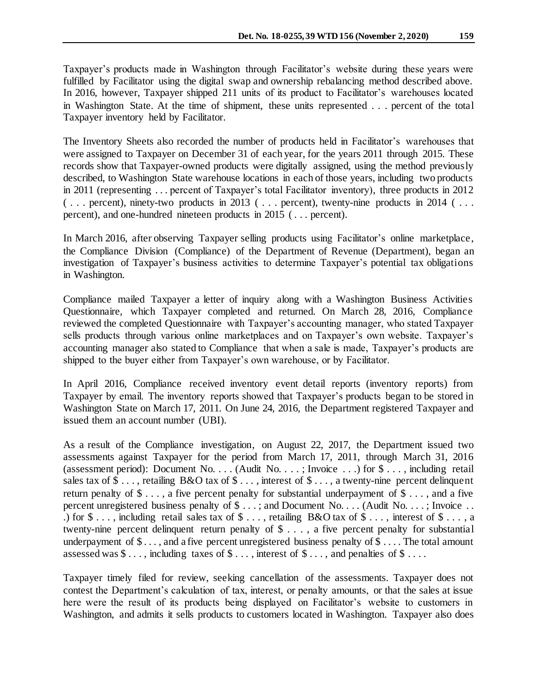Taxpayer's products made in Washington through Facilitator's website during these years were fulfilled by Facilitator using the digital swap and ownership rebalancing method described above. In 2016, however, Taxpayer shipped 211 units of its product to Facilitator's warehouses located in Washington State. At the time of shipment, these units represented . . . percent of the total Taxpayer inventory held by Facilitator.

The Inventory Sheets also recorded the number of products held in Facilitator's warehouses that were assigned to Taxpayer on December 31 of each year, for the years 2011 through 2015. These records show that Taxpayer-owned products were digitally assigned, using the method previously described, to Washington State warehouse locations in each of those years, including two products in 2011 (representing . . . percent of Taxpayer's total Facilitator inventory), three products in 2012 ( . . . percent), ninety-two products in 2013 ( . . . percent), twenty-nine products in 2014 ( . . . percent), and one-hundred nineteen products in 2015 ( . . . percent).

In March 2016, after observing Taxpayer selling products using Facilitator's online marketplace, the Compliance Division (Compliance) of the Department of Revenue (Department), began an investigation of Taxpayer's business activities to determine Taxpayer's potential tax obligations in Washington.

Compliance mailed Taxpayer a letter of inquiry along with a Washington Business Activities Questionnaire, which Taxpayer completed and returned. On March 28, 2016, Compliance reviewed the completed Questionnaire with Taxpayer's accounting manager, who stated Taxpayer sells products through various online marketplaces and on Taxpayer's own website. Taxpayer's accounting manager also stated to Compliance that when a sale is made, Taxpayer's products are shipped to the buyer either from Taxpayer's own warehouse, or by Facilitator.

In April 2016, Compliance received inventory event detail reports (inventory reports) from Taxpayer by email. The inventory reports showed that Taxpayer's products began to be stored in Washington State on March 17, 2011. On June 24, 2016, the Department registered Taxpayer and issued them an account number (UBI).

As a result of the Compliance investigation, on August 22, 2017, the Department issued two assessments against Taxpayer for the period from March 17, 2011, through March 31, 2016 (assessment period): Document No. . . . (Audit No. . . . ; Invoice . . .) for \$ . . . , including retail sales tax of  $\$\ldots$ , retailing B&O tax of  $\$\ldots$ , interest of  $\$\ldots$ , a twenty-nine percent delinquent return penalty of  $\$\ldots$ , a five percent penalty for substantial underpayment of  $\$\ldots$ , and a five percent unregistered business penalty of \$ . . .; and Document No. . . . (Audit No. . . . ; Invoice . . .) for  $\$\ldots$ , including retail sales tax of  $\$\ldots$ , retailing B&O tax of  $\$\ldots$ , interest of  $\$\ldots$ , a twenty-nine percent delinquent return penalty of \$ . . . , a five percent penalty for substantial underpayment of  $\$\ldots$ , and a five percent unregistered business penalty of  $\$\ldots$ . The total amount assessed was  $\$\dots$ , including taxes of  $\$\dots$ , interest of  $\$\dots$ , and penalties of  $\$\dots$ .

Taxpayer timely filed for review, seeking cancellation of the assessments. Taxpayer does not contest the Department's calculation of tax, interest, or penalty amounts, or that the sales at issue here were the result of its products being displayed on Facilitator's website to customers in Washington, and admits it sells products to customers located in Washington. Taxpayer also does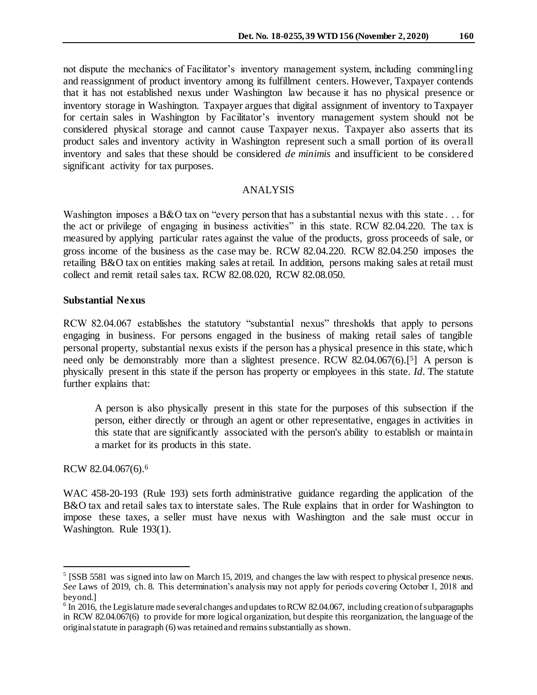not dispute the mechanics of Facilitator's inventory management system, including commingling and reassignment of product inventory among its fulfillment centers. However, Taxpayer contends that it has not established nexus under Washington law because it has no physical presence or inventory storage in Washington. Taxpayer argues that digital assignment of inventory to Taxpayer for certain sales in Washington by Facilitator's inventory management system should not be considered physical storage and cannot cause Taxpayer nexus. Taxpayer also asserts that its product sales and inventory activity in Washington represent such a small portion of its overall inventory and sales that these should be considered *de minimis* and insufficient to be considered significant activity for tax purposes.

#### ANALYSIS

Washington imposes a B&O tax on "every person that has a substantial nexus with this state... for the act or privilege of engaging in business activities" in this state. RCW 82.04.220. The tax is measured by applying particular rates against the value of the products, gross proceeds of sale, or gross income of the business as the case may be. RCW 82.04.220. RCW 82.04.250 imposes the retailing B&O tax on entities making sales at retail. In addition, persons making sales at retail must collect and remit retail sales tax. RCW 82.08.020, RCW 82.08.050.

#### **Substantial Nexus**

RCW 82.04.067 establishes the statutory "substantial nexus" thresholds that apply to persons engaging in business. For persons engaged in the business of making retail sales of tangible personal property, substantial nexus exists if the person has a physical presence in this state, which need only be demonstrably more than a slightest presence. RCW 82.04.067(6).<sup>[5]</sup> A person is physically present in this state if the person has property or employees in this state. *Id.* The statute further explains that:

A person is also physically present in this state for the purposes of this subsection if the person, either directly or through an agent or other representative, engages in activities in this state that are significantly associated with the person's ability to establish or maintain a market for its products in this state.

RCW 82.04.067(6). 6

j

WAC 458-20-193 (Rule 193) sets forth administrative guidance regarding the application of the B&O tax and retail sales tax to interstate sales. The Rule explains that in order for Washington to impose these taxes, a seller must have nexus with Washington and the sale must occur in Washington. Rule 193(1).

<sup>&</sup>lt;sup>5</sup> [SSB 5581 was signed into law on March 15, 2019, and changes the law with respect to physical presence nexus. *See* Laws of 2019, ch. 8. This determination's analysis may not apply for periods covering October 1, 2018 and beyond.]

 $6$  In 2016, the Legislature made several changes and updates to RCW 82.04.067, including creation of subparagraphs in RCW 82.04.067(6) to provide for more logical organization, but despite this reorganization, the language of the original statute in paragraph (6) was retained and remains substantially as shown.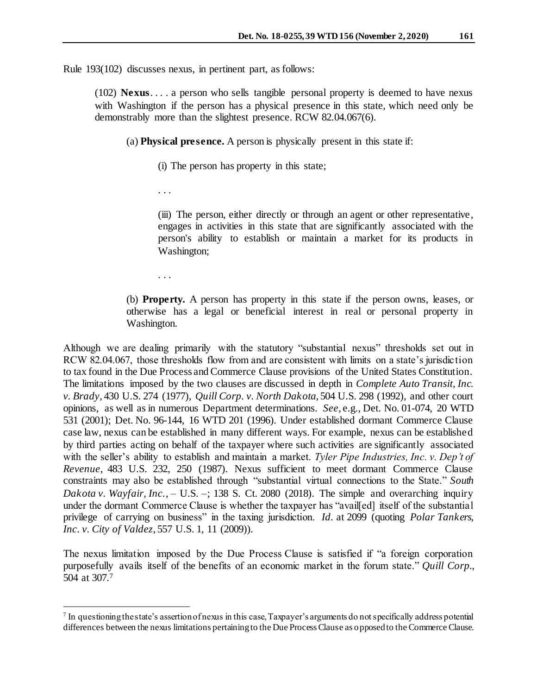Rule 193(102) discusses nexus, in pertinent part, as follows:

(102) **Nexus**. . . . a person who sells tangible personal property is deemed to have nexus with Washington if the person has a physical presence in this state, which need only be demonstrably more than the slightest presence. RCW 82.04.067(6).

(a) **Physical presence.** A person is physically present in this state if:

(i) The person has property in this state;

. . .

(iii) The person, either directly or through an agent or other representative, engages in activities in this state that are significantly associated with the person's ability to establish or maintain a market for its products in Washington;

. . .

l

(b) **Property.** A person has property in this state if the person owns, leases, or otherwise has a legal or beneficial interest in real or personal property in Washington.

Although we are dealing primarily with the statutory "substantial nexus" thresholds set out in RCW 82.04.067, those thresholds flow from and are consistent with limits on a state's jurisdiction to tax found in the Due Process and Commerce Clause provisions of the United States Constitution. The limitations imposed by the two clauses are discussed in depth in *Complete Auto Transit, Inc. v. Brady*, 430 U.S. 274 (1977), *Quill Corp. v. North Dakota*, 504 U.S. 298 (1992), and other court opinions, as well as in numerous Department determinations. *See*, e.g., Det. No. 01-074, 20 WTD 531 (2001); Det. No. 96-144, 16 WTD 201 (1996). Under established dormant Commerce Clause case law, nexus can be established in many different ways. For example, nexus can be established by third parties acting on behalf of the taxpayer where such activities are significantly associated with the seller's ability to establish and maintain a market. *Tyler Pipe Industries, Inc. v. Dep't of Revenue*, 483 U.S. 232, 250 (1987). Nexus sufficient to meet dormant Commerce Clause constraints may also be established through "substantial virtual connections to the State." *South Dakota v. Wayfair, Inc.*,  $-$  U.S.  $-$ ; 138 S. Ct. 2080 (2018). The simple and overarching inquiry under the dormant Commerce Clause is whether the taxpayer has "avail[ed] itself of the substantial privilege of carrying on business" in the taxing jurisdiction. *Id.* at 2099 (quoting *Polar Tankers, Inc. v. City of Valdez*, 557 U.S. 1, 11 (2009)).

The nexus limitation imposed by the Due Process Clause is satisfied if "a foreign corporation purposefully avails itself of the benefits of an economic market in the forum state." *Quill Corp.*, 504 at 307.<sup>7</sup>

 $<sup>7</sup>$  In questioning the state's assertion of nexus in this case, Taxpayer's arguments do not specifically address potential</sup> differences between the nexus limitations pertaining to the Due Process Clause as opposed to the Commerce Clause.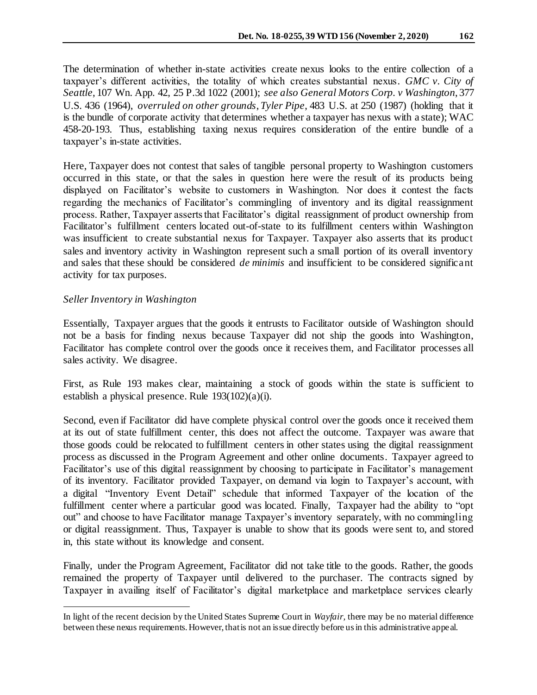The determination of whether in-state activities create nexus looks to the entire collection of a taxpayer's different activities, the totality of which creates substantial nexus. *GMC v. City of Seattle*, 107 Wn. App. 42, 25 P.3d 1022 (2001); *see also General Motors Corp. v Washington*, 377 U.S. 436 (1964), *overruled on other grounds*, *Tyler Pipe*, 483 U.S. at 250 (1987) (holding that it is the bundle of corporate activity that determines whether a taxpayer has nexus with a state); WAC 458-20-193. Thus, establishing taxing nexus requires consideration of the entire bundle of a taxpayer's in-state activities.

Here, Taxpayer does not contest that sales of tangible personal property to Washington customers occurred in this state, or that the sales in question here were the result of its products being displayed on Facilitator's website to customers in Washington. Nor does it contest the facts regarding the mechanics of Facilitator's commingling of inventory and its digital reassignment process. Rather, Taxpayer asserts that Facilitator's digital reassignment of product ownership from Facilitator's fulfillment centers located out-of-state to its fulfillment centers within Washington was insufficient to create substantial nexus for Taxpayer. Taxpayer also asserts that its product sales and inventory activity in Washington represent such a small portion of its overall inventory and sales that these should be considered *de minimis* and insufficient to be considered significant activity for tax purposes.

## *Seller Inventory in Washington*

l

Essentially, Taxpayer argues that the goods it entrusts to Facilitator outside of Washington should not be a basis for finding nexus because Taxpayer did not ship the goods into Washington, Facilitator has complete control over the goods once it receives them, and Facilitator processes all sales activity. We disagree.

First, as Rule 193 makes clear, maintaining a stock of goods within the state is sufficient to establish a physical presence. Rule 193(102)(a)(i).

Second, even if Facilitator did have complete physical control over the goods once it received them at its out of state fulfillment center, this does not affect the outcome. Taxpayer was aware that those goods could be relocated to fulfillment centers in other states using the digital reassignment process as discussed in the Program Agreement and other online documents. Taxpayer agreed to Facilitator's use of this digital reassignment by choosing to participate in Facilitator's management of its inventory. Facilitator provided Taxpayer, on demand via login to Taxpayer's account, with a digital "Inventory Event Detail" schedule that informed Taxpayer of the location of the fulfillment center where a particular good was located. Finally, Taxpayer had the ability to "opt out" and choose to have Facilitator manage Taxpayer's inventory separately, with no commingling or digital reassignment. Thus, Taxpayer is unable to show that its goods were sent to, and stored in, this state without its knowledge and consent.

Finally, under the Program Agreement, Facilitator did not take title to the goods. Rather, the goods remained the property of Taxpayer until delivered to the purchaser. The contracts signed by Taxpayer in availing itself of Facilitator's digital marketplace and marketplace services clearly

In light of the recent decision by the United States Supreme Court in *Wayfair,* there may be no material difference between these nexus requirements. However, that is not an issue directly before us in this administrative appeal.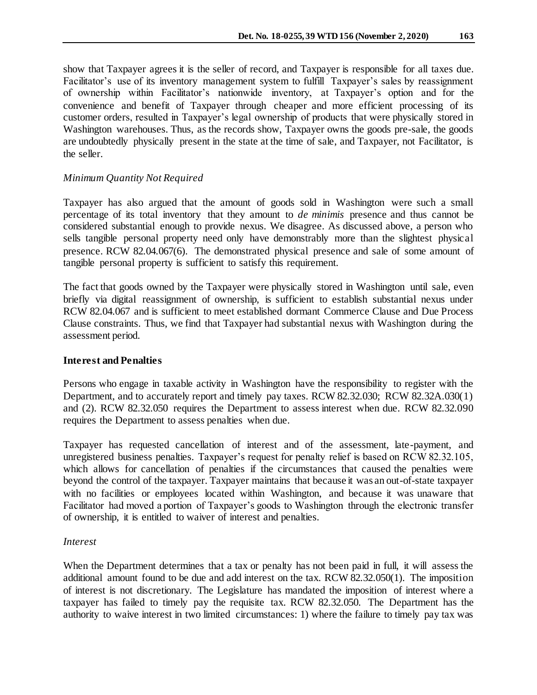show that Taxpayer agrees it is the seller of record, and Taxpayer is responsible for all taxes due. Facilitator's use of its inventory management system to fulfill Taxpayer's sales by reassignment of ownership within Facilitator's nationwide inventory, at Taxpayer's option and for the convenience and benefit of Taxpayer through cheaper and more efficient processing of its customer orders, resulted in Taxpayer's legal ownership of products that were physically stored in Washington warehouses. Thus, as the records show, Taxpayer owns the goods pre-sale, the goods are undoubtedly physically present in the state at the time of sale, and Taxpayer, not Facilitator, is the seller.

## *Minimum Quantity Not Required*

Taxpayer has also argued that the amount of goods sold in Washington were such a small percentage of its total inventory that they amount to *de minimis* presence and thus cannot be considered substantial enough to provide nexus. We disagree. As discussed above, a person who sells tangible personal property need only have demonstrably more than the slightest physical presence. RCW 82.04.067(6). The demonstrated physical presence and sale of some amount of tangible personal property is sufficient to satisfy this requirement.

The fact that goods owned by the Taxpayer were physically stored in Washington until sale, even briefly via digital reassignment of ownership, is sufficient to establish substantial nexus under RCW 82.04.067 and is sufficient to meet established dormant Commerce Clause and Due Process Clause constraints. Thus, we find that Taxpayer had substantial nexus with Washington during the assessment period.

## **Interest and Penalties**

Persons who engage in taxable activity in Washington have the responsibility to register with the Department, and to accurately report and timely pay taxes. RCW 82.32.030; RCW 82.32A.030(1) and (2). RCW 82.32.050 requires the Department to assess interest when due. RCW 82.32.090 requires the Department to assess penalties when due.

Taxpayer has requested cancellation of interest and of the assessment, late-payment, and unregistered business penalties. Taxpayer's request for penalty relief is based on RCW 82.32.105, which allows for cancellation of penalties if the circumstances that caused the penalties were beyond the control of the taxpayer. Taxpayer maintains that because it was an out-of-state taxpayer with no facilities or employees located within Washington, and because it was unaware that Facilitator had moved a portion of Taxpayer's goods to Washington through the electronic transfer of ownership, it is entitled to waiver of interest and penalties.

## *Interest*

When the Department determines that a tax or penalty has not been paid in full, it will assess the additional amount found to be due and add interest on the tax. RCW 82.32.050(1). The imposition of interest is not discretionary. The Legislature has mandated the imposition of interest where a taxpayer has failed to timely pay the requisite tax. RCW 82.32.050. The Department has the authority to waive interest in two limited circumstances: 1) where the failure to timely pay tax was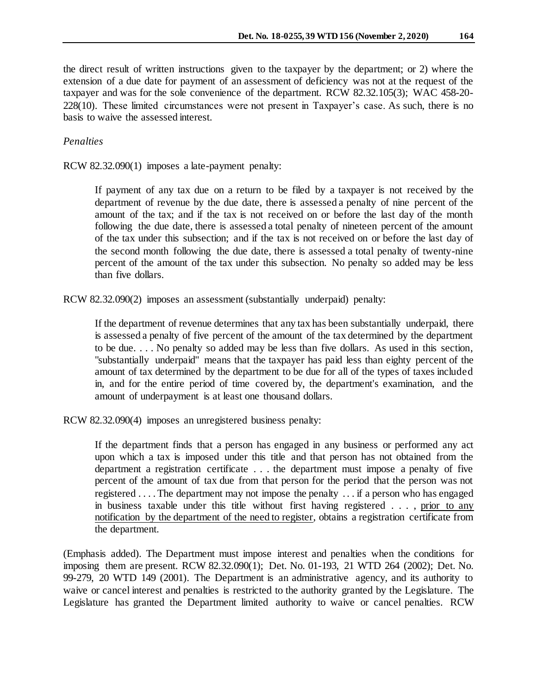the direct result of written instructions given to the taxpayer by the department; or 2) where the extension of a due date for payment of an assessment of deficiency was not at the request of the taxpayer and was for the sole convenience of the department. RCW 82.32.105(3); WAC 458-20- 228(10). These limited circumstances were not present in Taxpayer's case. As such, there is no basis to waive the assessed interest.

## *Penalties*

RCW 82.32.090(1) imposes a late-payment penalty:

If payment of any tax due on a return to be filed by a taxpayer is not received by the department of revenue by the due date, there is assessed a penalty of nine percent of the amount of the tax; and if the tax is not received on or before the last day of the month following the due date, there is assessed a total penalty of nineteen percent of the amount of the tax under this subsection; and if the tax is not received on or before the last day of the second month following the due date, there is assessed a total penalty of twenty-nine percent of the amount of the tax under this subsection. No penalty so added may be less than five dollars.

RCW 82.32.090(2) imposes an assessment (substantially underpaid) penalty:

If the department of revenue determines that any tax has been substantially underpaid, there is assessed a penalty of five percent of the amount of the tax determined by the department to be due. . . . No penalty so added may be less than five dollars. As used in this section, "substantially underpaid" means that the taxpayer has paid less than eighty percent of the amount of tax determined by the department to be due for all of the types of taxes included in, and for the entire period of time covered by, the department's examination, and the amount of underpayment is at least one thousand dollars.

RCW 82.32.090(4) imposes an unregistered business penalty:

If the department finds that a person has engaged in any business or performed any act upon which a tax is imposed under this title and that person has not obtained from the department a registration certificate . . . the department must impose a penalty of five percent of the amount of tax due from that person for the period that the person was not registered . . . . The department may not impose the penalty . . . if a person who has engaged in business taxable under this title without first having registered . . . , prior to any notification by the department of the need to register, obtains a registration certificate from the department.

(Emphasis added). The Department must impose interest and penalties when the conditions for imposing them are present. RCW 82.32.090(1); Det. No. 01-193, 21 WTD 264 (2002); Det. No. 99-279, 20 WTD 149 (2001). The Department is an administrative agency, and its authority to waive or cancel interest and penalties is restricted to the authority granted by the Legislature. The Legislature has granted the Department limited authority to waive or cancel penalties. RCW